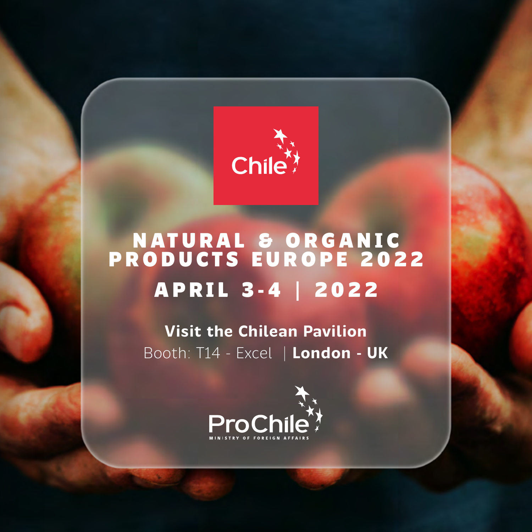

# **NATURAL & ORGANIC PRODUCTS EUROPE 2022 APRIL 3-4 | 2022**

**Visit the Chilean Pavilion** Booth: T14 - Excel | **London - UK**

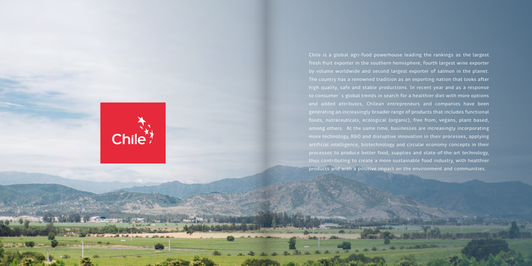

Chile is a global agri-food powerhouse leading the rankings as the largest fresh fruit exporter in the southern hemisphere, fourth largest wine exporter by volume worldwide and second largest exporter of salmon in the planet. The country has a renowned tradition as an exporting nation that looks after high quality, safe and stable productions. In recent year and as a response to consumer´s global trends in search for a healthier diet with more options and added attributes, Chilean entrepreneurs and companies have been generating an increasingly broader range of products that includes functional foods, nutraceuticals, ecological (organic), free from, vegans, plant based, among others. At the same time, businesses are increasingly incorporating more technology, R&D and disruptive innovation in their processes, applying processes to produce better food, supplies and state-of-the-art technology, thus contributing to create a more sustainable food industry, with healthier products and with a positive impact on the environment and communities.

the company of the company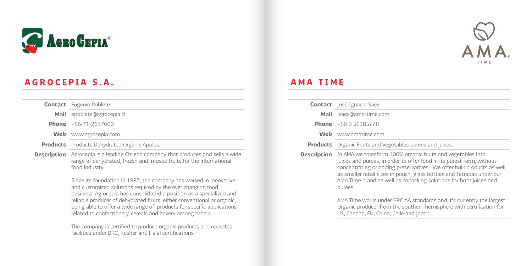

## AGROCEPIA S.A.

|             | <b>Contact</b> Eugenio Poblete                                                                                                                                                                                                                                                                                                                                                                                               |
|-------------|------------------------------------------------------------------------------------------------------------------------------------------------------------------------------------------------------------------------------------------------------------------------------------------------------------------------------------------------------------------------------------------------------------------------------|
|             | Mail epoblete@agrocepia.cl                                                                                                                                                                                                                                                                                                                                                                                                   |
|             | <b>Phone</b> $+56-71-2617600$                                                                                                                                                                                                                                                                                                                                                                                                |
| Web         | www.agrocepia.com                                                                                                                                                                                                                                                                                                                                                                                                            |
|             | <b>Products</b> Products Dehydrated Organic Apples.                                                                                                                                                                                                                                                                                                                                                                          |
| Description | Agrocepia is a leading Chilean company that produces and sells a wide<br>range of dehydrated, frozen and infused fruits for the international<br>food industry.                                                                                                                                                                                                                                                              |
|             | Since its foundation in 1987, the company has worked in innovative<br>and customized solutions required by the ever changing food<br>business. Agrocepia has consolidated a position as a specialized and<br>reliable producer of dehydrated fruits, either conventional or organic,<br>being able to offer a wide range of products for specific applications<br>related to confectionery, cereals and bakery among others. |
|             | The company is certified to produce organic products and operates<br>facilities under BRC, Kosher and Halal certifications.                                                                                                                                                                                                                                                                                                  |



### AMA TIME

|                 | <b>Contact</b>   losé Ignacio Saez                                                                                                                                                                                                                                                                                                                                      |
|-----------------|-------------------------------------------------------------------------------------------------------------------------------------------------------------------------------------------------------------------------------------------------------------------------------------------------------------------------------------------------------------------------|
|                 | Mail jsaez@ama-time.com                                                                                                                                                                                                                                                                                                                                                 |
|                 | <b>Phone</b> $+56956185778$                                                                                                                                                                                                                                                                                                                                             |
| Web             | www.amatime.com                                                                                                                                                                                                                                                                                                                                                         |
| <b>Products</b> | Organic Fruits and Vegetables purees and juices.                                                                                                                                                                                                                                                                                                                        |
| Description     | In AMA we transform 100% organic fruits and vegetables into<br>juices and purees, in order to offer food in its purest form, without<br>concentrating or adding preservatives. We offer bulk products as well<br>as smaller retail sizes in pouch, glass bottles and Tetrapak under our<br>AMA Time brand as well as copacking solutions for both juices and<br>purées. |
|                 | AMA Time works under BRC AA standards and it's currently the largest<br>Organic producer from the southern hemisphere with certification for<br>US, Canada, EU, China, Chile and Japan.                                                                                                                                                                                 |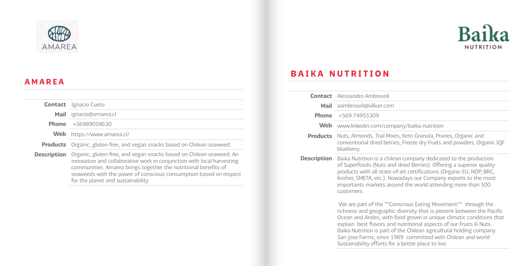



### AMAREA

|             | <b>Contact</b> Ignacio Cueto                                                                                                                                                                                                                                                                                                |
|-------------|-----------------------------------------------------------------------------------------------------------------------------------------------------------------------------------------------------------------------------------------------------------------------------------------------------------------------------|
|             | Mail ignacio@amarea.cl                                                                                                                                                                                                                                                                                                      |
|             | <b>Phone</b> +56989058630                                                                                                                                                                                                                                                                                                   |
|             | Web https://www.amarea.cl/                                                                                                                                                                                                                                                                                                  |
|             | <b>Products</b> Organic, gluten-free, and vegan snacks based on Chilean seaweed.                                                                                                                                                                                                                                            |
| Description | Organic, gluten-free, and vegan snacks based on Chilean seaweed. An<br>innovative and collaborative work in conjunction with local harvesting<br>communities. Amarea brings together the nutritional benefits of<br>seaweeds with the power of conscious consumption based on respect<br>for the planet and sustainability. |

#### BAIKA NUTRITION

|                    | <b>Contact</b> Alessandro Ambrosoli                                                                                                                                                                                                                                                                                                                                                                                                                                            |
|--------------------|--------------------------------------------------------------------------------------------------------------------------------------------------------------------------------------------------------------------------------------------------------------------------------------------------------------------------------------------------------------------------------------------------------------------------------------------------------------------------------|
| Mail               | aambrosoli@vilkun.com                                                                                                                                                                                                                                                                                                                                                                                                                                                          |
| Phone              | +569 74955309                                                                                                                                                                                                                                                                                                                                                                                                                                                                  |
| Web                | www.linkedin.com/company/baika-nutrition                                                                                                                                                                                                                                                                                                                                                                                                                                       |
| <b>Products</b>    | Nuts, Almonds, Trail Mixes, Keto Granola, Prunes, Organic and<br>conventional dried berries, Freeze dry Fruits and powders, Organic IQF<br>blueberry.                                                                                                                                                                                                                                                                                                                          |
| <b>Description</b> | Baika Nutrition is a chilean company dedicated to the production<br>of Superfoods (Nuts and dried Berries). Offering a superior quality<br>products with all state-of-art certifications (Organic EU, NOP, BRC,<br>Kosher, SMETA, etc.). Nowadays our Company exports to the most<br>importants markets around the world attending more than 500<br><b>CUSTOMARS</b>                                                                                                           |
|                    | We are part of the ""Conscious Eating Movement"" through the<br>richness and geographic diversity that is present between the Pacific<br>Ocean and Andes, with food grown in unique climatic conditions that<br>explain best flavors and nutritional aspects of our Fruits & Nuts.<br>Baika Nutrition is part of the Chilean agricultural holding company<br>San Jose Farms; since 1989 committed with Chilean and world<br>Sustainability efforts for a better place to live. |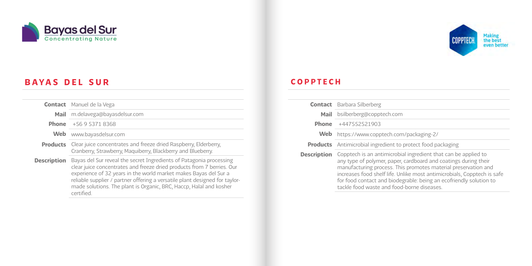

### BAYAS DEL SUR

|                    | <b>Contact</b> Manuel de la Vega                                                                                                                                                                                                                                                                                                                                                     |
|--------------------|--------------------------------------------------------------------------------------------------------------------------------------------------------------------------------------------------------------------------------------------------------------------------------------------------------------------------------------------------------------------------------------|
| Mail               | m.delavega@bayasdelsur.com                                                                                                                                                                                                                                                                                                                                                           |
| <b>Phone</b>       | +56 9 5371 8368                                                                                                                                                                                                                                                                                                                                                                      |
| Web                | www.bayasdelsur.com                                                                                                                                                                                                                                                                                                                                                                  |
|                    | <b>Products</b> Clear juice concentrates and freeze dried Raspberry, Elderberry,<br>Cranberry, Strawberry, Maguiberry, Blackberry and Blueberry.                                                                                                                                                                                                                                     |
| <b>Description</b> | Bayas del Sur reveal the secret Ingredients of Patagonia processing<br>clear juice concentrates and freeze dried products from 7 berries. Our<br>experience of 32 years in the world market makes Bayas del Sur a<br>reliable supplier / partner offering a versatile plant designed for taylor-<br>made solutions. The plant is Organic, BRC, Haccp, Halal and kosher<br>certified. |



#### COPPTECH

|                    | <b>Contact</b> Barbara Silberberg                                                                                                                                                                                                                                                                                                                                                                 |
|--------------------|---------------------------------------------------------------------------------------------------------------------------------------------------------------------------------------------------------------------------------------------------------------------------------------------------------------------------------------------------------------------------------------------------|
| Mail               | bsilberberg@copptech.com                                                                                                                                                                                                                                                                                                                                                                          |
| Phone              | +447552521903                                                                                                                                                                                                                                                                                                                                                                                     |
| Web                | https://www.copptech.com/packaging-2/                                                                                                                                                                                                                                                                                                                                                             |
|                    | <b>Products</b> Antimicrobial ingredient to protect food packaging                                                                                                                                                                                                                                                                                                                                |
| <b>Description</b> | Copptech is an antimicrobial ingredient that can be applied to<br>any type of polymer, paper, cardboard and coatings during their<br>manufacturing process. This promotes material preservation and<br>increases food shelf life. Unlike most antimicrobials, Copptech is safe<br>for food contact and biodegrable: being an ecofriendly solution to<br>tackle food waste and food-borne diseases |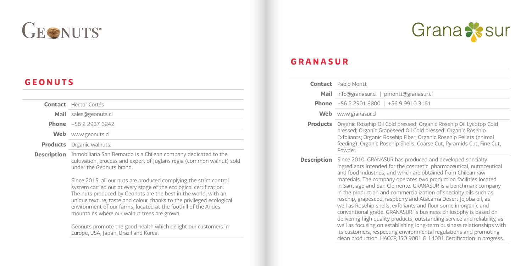

### GEONUTS

| <b>Contact</b> Héctor Cortés     |
|----------------------------------|
| Mail sales@geonuts.cl            |
| <b>Phone</b> $+56229376242$      |
| Web www.geonuts.cl               |
| <b>Products</b> Organic walnuts. |
|                                  |

**Description** Inmobiliaria San Bernardo is a Chilean company dedicated to the cultivation, process and export of Juglans regia (common walnut) sold under the Geonuts brand.

> Since 2015, all our nuts are produced complying the strict control system carried out at every stage of the ecological certification. The nuts produced by Geonuts are the best in the world, with an unique texture, taste and colour, thanks to the privileged ecological environment of our farms, located at the foothill of the Andes mountains where our walnut trees are grown.

Geonuts promote the good health which delight our customers in Europe, USA, Japan, Brazil and Korea.



#### GRANASUR

|                    | <b>Contact</b> Pablo Montt                                                                                                                                                                                                                                                                                                                                                                                                                                                                                                                                                                                                                                                                                                                                                                                                                                                                                                |
|--------------------|---------------------------------------------------------------------------------------------------------------------------------------------------------------------------------------------------------------------------------------------------------------------------------------------------------------------------------------------------------------------------------------------------------------------------------------------------------------------------------------------------------------------------------------------------------------------------------------------------------------------------------------------------------------------------------------------------------------------------------------------------------------------------------------------------------------------------------------------------------------------------------------------------------------------------|
| Mail               | info@granasur.cl   pmontt@granasur.cl                                                                                                                                                                                                                                                                                                                                                                                                                                                                                                                                                                                                                                                                                                                                                                                                                                                                                     |
|                    | <b>Phone</b> $+56229018800$   $+5699103161$                                                                                                                                                                                                                                                                                                                                                                                                                                                                                                                                                                                                                                                                                                                                                                                                                                                                               |
| Web                | www.granasur.cl                                                                                                                                                                                                                                                                                                                                                                                                                                                                                                                                                                                                                                                                                                                                                                                                                                                                                                           |
| <b>Products</b>    | Organic Rosehip Oil Cold pressed; Organic Rosehip Oil Lycotop Cold<br>pressed; Organic Grapeseed Oil Cold pressed; Organic Rosehip<br>Exfoliants; Organic Rosehip Fiber; Organic Rosehip Pellets (animal<br>feeding); Organic Rosehip Shells: Coarse Cut, Pyramids Cut, Fine Cut,<br>Powder.                                                                                                                                                                                                                                                                                                                                                                                                                                                                                                                                                                                                                              |
| <b>Description</b> | Since 2010, GRANASUR has produced and developed specialty<br>ingredients intended for the cosmetic, pharmaceutical, nutraceutical<br>and food industries, and which are obtained from Chilean raw<br>materials. The company operates two production facilities located<br>in Santiago and San Clemente. GRANASUR is a benchmark company<br>in the production and commercialization of specialty oils such as<br>rosehip, grapeseed, raspberry and Atacama Desert Jojoba oil, as<br>well as Rosehip shells, exfoliants and flour some in organic and<br>conventional grade. GRANASUR's business philosophy is based on<br>delivering high quality products, outstanding service and reliability, as<br>well as focusing on establishing long-term business relationships with<br>its customers, respecting environmental regulations and promoting<br>clean production. HACCP, ISO 9001 & 14001 Certification in progress. |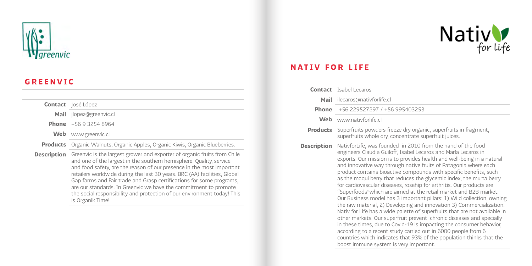

#### GREENVIC

|                    | <b>Contact</b> losé López                                                                                                                                                                                                                                                                                                                                                                                                                                                                                                                        |
|--------------------|--------------------------------------------------------------------------------------------------------------------------------------------------------------------------------------------------------------------------------------------------------------------------------------------------------------------------------------------------------------------------------------------------------------------------------------------------------------------------------------------------------------------------------------------------|
|                    | <b>Mail</b> ilopez@greenvic.cl                                                                                                                                                                                                                                                                                                                                                                                                                                                                                                                   |
|                    | <b>Phone</b> $+56932548964$                                                                                                                                                                                                                                                                                                                                                                                                                                                                                                                      |
| Web                | www.greenvic.cl                                                                                                                                                                                                                                                                                                                                                                                                                                                                                                                                  |
|                    | <b>Products</b> Organic Walnuts, Organic Apples, Organic Kiwis, Organic Blueberries.                                                                                                                                                                                                                                                                                                                                                                                                                                                             |
| <b>Description</b> | Greenvic is the largest grower and exporter of organic fruits from Chile<br>and one of the largest in the southern hemisphere. Quality, service<br>and food safety, are the reason of our presence in the most important<br>retailers worldwide during the last 30 years. BRC (AA) facilities, Global<br>Gap farms and Fair trade and Grasp certifications for some programs.<br>are our standards. In Greenvic we have the commitment to promote<br>the social responsibility and protection of our environment today! This<br>is Organik Time! |



#### NATIV FOR LIFE

|                    | <b>Contact</b> Isabel Lecaros                                                                                                                                                                                                                                                                                                                                                                                                                                                                                                                                                                                                                                                                                                                                                                                                                                                                                                                                                                                                                                                                                                          |
|--------------------|----------------------------------------------------------------------------------------------------------------------------------------------------------------------------------------------------------------------------------------------------------------------------------------------------------------------------------------------------------------------------------------------------------------------------------------------------------------------------------------------------------------------------------------------------------------------------------------------------------------------------------------------------------------------------------------------------------------------------------------------------------------------------------------------------------------------------------------------------------------------------------------------------------------------------------------------------------------------------------------------------------------------------------------------------------------------------------------------------------------------------------------|
| Mail               | ilecaros@nativforlife.cl                                                                                                                                                                                                                                                                                                                                                                                                                                                                                                                                                                                                                                                                                                                                                                                                                                                                                                                                                                                                                                                                                                               |
| <b>Phone</b>       | +56 229527297 / +56 995403253                                                                                                                                                                                                                                                                                                                                                                                                                                                                                                                                                                                                                                                                                                                                                                                                                                                                                                                                                                                                                                                                                                          |
| Web                | www.nativforlife.cl                                                                                                                                                                                                                                                                                                                                                                                                                                                                                                                                                                                                                                                                                                                                                                                                                                                                                                                                                                                                                                                                                                                    |
| <b>Products</b>    | Superfruits powders freeze dry organic, superfruits in fragment,<br>superfruits whole dry, concentrate superfruit juices.                                                                                                                                                                                                                                                                                                                                                                                                                                                                                                                                                                                                                                                                                                                                                                                                                                                                                                                                                                                                              |
| <b>Description</b> | NativforLife, was founded in 2010 from the hand of the food<br>engineers Claudia Guiloff, Isabel Lecaros and María Lecaros in<br>exports. Our mission is to provides health and well-being in a natural<br>and innovative way through native fruits of Patagonia where each<br>product contains bioactive compounds with specific benefits, such<br>as the maqui berry that reduces the glycemic index, the murta berry<br>for cardiovascular diseases, rosehip for arthritis. Our products are<br>"Superfoods" which are aimed at the retail market and B2B market.<br>Our Business model has 3 important pillars: 1) Wild collection, owning<br>the raw material, 2) Developing and innovation 3) Commercialization.<br>Nativ for Life has a wide palette of superfruits that are not available in<br>other markets. Our superfruit prevent chronic diseases and specially<br>in these times, due to Covid-19 is impacting the consumer behavior,<br>according to a recent study carried out in 6000 people from 6<br>countries which indicates that 93% of the population thinks that the<br>boost immune system is very important. |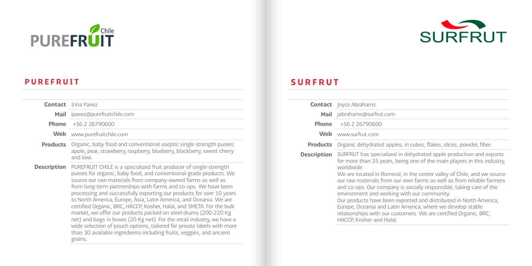



#### PUREFRUIT

### SURFRUT

|                    | <b>Contact</b> Joyce Abrahams                                                                                                                                                                                                                                                                                                                                                                                                                                                                                                                                                                                                                                           |
|--------------------|-------------------------------------------------------------------------------------------------------------------------------------------------------------------------------------------------------------------------------------------------------------------------------------------------------------------------------------------------------------------------------------------------------------------------------------------------------------------------------------------------------------------------------------------------------------------------------------------------------------------------------------------------------------------------|
|                    | Mail jabrahams@surfrut.com                                                                                                                                                                                                                                                                                                                                                                                                                                                                                                                                                                                                                                              |
|                    | <b>Phone</b> $+56226790600$                                                                                                                                                                                                                                                                                                                                                                                                                                                                                                                                                                                                                                             |
|                    | Web www.surfrut.com                                                                                                                                                                                                                                                                                                                                                                                                                                                                                                                                                                                                                                                     |
| <b>Products</b>    | Organic dehydrated apples, in cubes, flakes, slices, powder, fiber.                                                                                                                                                                                                                                                                                                                                                                                                                                                                                                                                                                                                     |
| <b>Description</b> | SURFRUT has specialized in dehydrated apple production and exports<br>for more than 35 years, being one of the main players in this industry,<br>worldwide<br>We are located in Romeral, in the center valley of Chile, and we source<br>our raw materials from our own farms as well as from reliable farmers<br>and co-ops. Our company is socially responsible, taking care of the<br>environment and working with our community.<br>Our products have been exported and distributed in North America,<br>Europe, Oceania and Latin America, where we develop stable<br>relationships with our customers. We are certified Organic, BRC,<br>HACCP, Kosher and Halal. |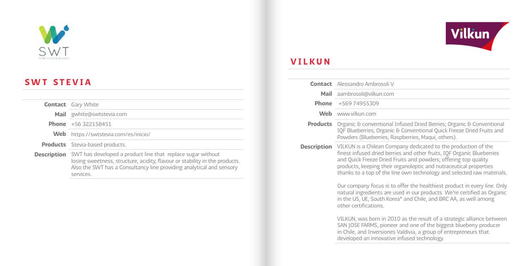

### SWT STEVIA

services.

|             | <b>Contact</b> Gary White                                                                                                                                                                                          |
|-------------|--------------------------------------------------------------------------------------------------------------------------------------------------------------------------------------------------------------------|
|             | Mail gwhite@swtstevia.com                                                                                                                                                                                          |
|             | <b>Phone</b> $+56322158451$                                                                                                                                                                                        |
|             | Web https://swtstevia.com/es/inicio/                                                                                                                                                                               |
|             | <b>Products</b> Stevia-based products.                                                                                                                                                                             |
| Description | SWT has developed a product line that replace sugar without<br>losing sweetness, structure, acidity, flavour or stability in the products.<br>Also the SWT has a Consultancy line providing analytical and sensory |



### VILKUN

|                    | <b>Contact</b> Alessandro Ambrosoli V                                                                                                                                                                                                                                                                                                                                                                                                                                                                                                                                                  |
|--------------------|----------------------------------------------------------------------------------------------------------------------------------------------------------------------------------------------------------------------------------------------------------------------------------------------------------------------------------------------------------------------------------------------------------------------------------------------------------------------------------------------------------------------------------------------------------------------------------------|
| Mail               | aambrosoli@vilkun.com                                                                                                                                                                                                                                                                                                                                                                                                                                                                                                                                                                  |
| <b>Phone</b>       | +569 74955309                                                                                                                                                                                                                                                                                                                                                                                                                                                                                                                                                                          |
| Web                | www.vilkun.com                                                                                                                                                                                                                                                                                                                                                                                                                                                                                                                                                                         |
| <b>Products</b>    | Organic & conventional Infused Dried Berries; Organic & Conventional<br>IQF Blueberries; Organic & Conventional Quick Freeze Dried Fruits and<br>Powders (Blueberries, Raspberries, Maqui, others).                                                                                                                                                                                                                                                                                                                                                                                    |
| <b>Description</b> | VILKUN is a Chilean Company dedicated to the production of the<br>finest infused dried berries and other fruits, IQF Organic Blueberries<br>and Quick Freeze Dried Fruits and powders; offering top quality<br>products, keeping their organoleptic and nutraceutical properties<br>thanks to a top of the line own technology and selected raw materials.<br>Our company focus is to offer the healthiest product in every line. Only<br>natural ingredients are used in our products. We're certified as Organic<br>in the US, UE, South Korea* and Chile, and BRC AA, as well among |
|                    | other certifications.<br>VILKUN, was born in 2010 as the result of a strategic alliance between<br>SAN JOSE FARMS, pioneer and one of the biggest blueberry producer<br>in Chile, and Inversiones Valdivia, a group of entrepreneurs that<br>developed an innovative infused technology.                                                                                                                                                                                                                                                                                               |
|                    |                                                                                                                                                                                                                                                                                                                                                                                                                                                                                                                                                                                        |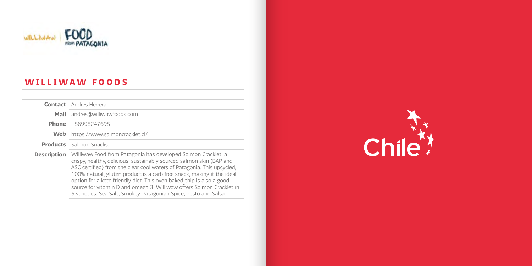

### WILLIWAW FOODS

|                    | <b>Contact</b> Andres Herrera                                                                                                                                                                                                                                                                                                                                                                                                             |
|--------------------|-------------------------------------------------------------------------------------------------------------------------------------------------------------------------------------------------------------------------------------------------------------------------------------------------------------------------------------------------------------------------------------------------------------------------------------------|
| Mail               | andres@williwawfoods.com                                                                                                                                                                                                                                                                                                                                                                                                                  |
|                    | <b>Phone</b> $+56998247695$                                                                                                                                                                                                                                                                                                                                                                                                               |
| Web                | https://www.salmoncracklet.cl/                                                                                                                                                                                                                                                                                                                                                                                                            |
|                    | <b>Products</b> Salmon Snacks.                                                                                                                                                                                                                                                                                                                                                                                                            |
| <b>Description</b> | Williwaw Food from Patagonia has developed Salmon Cracklet, a<br>crispy, healthy, delicious, sustainably sourced salmon skin (BAP and<br>ASC certified) from the clear cool waters of Patagonia. This upcycled,<br>100% natural, gluten product is a carb free snack, making it the ideal<br>option for a keto friendly diet. This oven baked chip is also a good<br>source for vitamin D and omega 3. Williwaw offers Salmon Cracklet in |

5 varieties: Sea Salt, Smokey, Patagonian Spice, Pesto and Salsa.